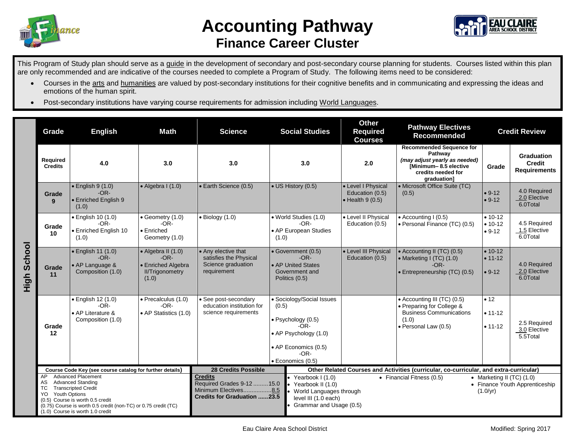

## **Accounting Pathway Finance Career Cluster**



This Program of Study plan should serve as a guide in the development of secondary and post-secondary course planning for students. Courses listed within this plan are only recommended and are indicative of the courses needed to complete a Program of Study. The following items need to be considered:

- Courses in the arts and humanities are valued by post-secondary institutions for their cognitive benefits and in communicating and expressing the ideas and emotions of the human spirit.
- Post-secondary institutions have varying course requirements for admission including World Languages.

|                | Grade                                                                                                                                                                                                                                                                          | <b>English</b>                                                                 | <b>Math</b><br><b>Science</b>                                                         |                                                                                                            | <b>Social Studies</b>                                                                                                                                      | Other<br><b>Required</b><br><b>Courses</b>                                                                                                                     | <b>Pathway Electives</b><br><b>Recommended</b>                                                                              | <b>Credit Review</b>                 |                                                    |
|----------------|--------------------------------------------------------------------------------------------------------------------------------------------------------------------------------------------------------------------------------------------------------------------------------|--------------------------------------------------------------------------------|---------------------------------------------------------------------------------------|------------------------------------------------------------------------------------------------------------|------------------------------------------------------------------------------------------------------------------------------------------------------------|----------------------------------------------------------------------------------------------------------------------------------------------------------------|-----------------------------------------------------------------------------------------------------------------------------|--------------------------------------|----------------------------------------------------|
| School<br>High | Required<br><b>Credits</b>                                                                                                                                                                                                                                                     | 4.0                                                                            | 3.0                                                                                   | 3.0                                                                                                        | Pathway<br>2.0<br>3.0<br>graduation]                                                                                                                       |                                                                                                                                                                | <b>Recommended Sequence for</b><br>(may adjust yearly as needed)<br>[Minimum-8.5 elective<br>credits needed for             | Grade                                | Graduation<br><b>Credit</b><br><b>Requirements</b> |
|                | Grade<br>9                                                                                                                                                                                                                                                                     | $\bullet$ English 9 (1.0)<br>$-OR-$<br>• Enriched English 9<br>(1.0)           | $\bullet$ Algebra I (1.0)                                                             | • Earth Science (0.5)                                                                                      | • US History (0.5)                                                                                                                                         | • Level I Physical<br>Education (0.5)<br>$\bullet$ Health 9 (0.5)                                                                                              | • Microsoft Office Suite (TC)<br>(0.5)                                                                                      | $• 9-12$<br>$• 9-12$                 | 4.0 Required<br>2.0 Elective<br>6.0Total           |
|                | Grade<br>10                                                                                                                                                                                                                                                                    | • English 10 (1.0)<br>$-OR-$<br>• Enriched English 10<br>(1.0)                 | • Geometry (1.0)<br>$-OR-$<br>$\bullet$ Enriched<br>Geometry (1.0)                    | $\bullet$ Biology (1.0)                                                                                    | • World Studies (1.0)<br>$-OR-$<br>• AP European Studies<br>(1.0)                                                                                          | • Level II Physical<br>Education (0.5)                                                                                                                         | • Accounting I (0.5)<br>• Personal Finance (TC) (0.5)                                                                       | $• 10-12$<br>$• 10-12$<br>$• 9-12$   | 4.5 Required<br>1.5 Elective<br>6.0Total           |
|                | Grade<br>11                                                                                                                                                                                                                                                                    | • English 11 (1.0)<br>$-OR-$<br>• AP Language &<br>Composition (1.0)           | • Algebra II (1.0)<br>$-OR-$<br>• Enriched Algebra<br><b>II/Trigonometry</b><br>(1.0) | • Any elective that<br>satisfies the Physical<br>Science graduation<br>requirement                         | • Government (0.5)<br>$-OR-$<br>• AP United States<br>Government and<br>Politics (0.5)                                                                     | • Level III Physical<br>Education (0.5)                                                                                                                        | • Accounting II (TC) (0.5)<br>• Marketing I (TC) (1.0)<br>$-OR-$<br>• Entrepreneurship (TC) (0.5)                           | $• 10-12$<br>$• 11 - 12$<br>$• 9-12$ | 4.0 Required<br>2.0 Elective<br>6.0Total           |
|                | Grade<br>12                                                                                                                                                                                                                                                                    | $\bullet$ English 12 (1.0)<br>$-OR-$<br>• AP Literature &<br>Composition (1.0) | · Precalculus (1.0)<br>$-OR-$<br>• AP Statistics (1.0)                                | • See post-secondary<br>education institution for<br>science requirements                                  | • Sociology/Social Issues<br>(0.5)<br>$\bullet$ Psychology (0.5)<br>$-OR-$<br>• AP Psychology (1.0)<br>• AP Economics (0.5)<br>$-OR-$<br>· Economics (0.5) |                                                                                                                                                                | • Accounting III (TC) (0.5)<br>• Preparing for College &<br><b>Business Communications</b><br>(1.0)<br>· Personal Law (0.5) | • 12<br>$• 11 - 12$<br>$• 11 - 12$   | 2.5 Required<br>3.0 Elective<br>5.5Total           |
|                | Course Code Key (see course catalog for further details)                                                                                                                                                                                                                       |                                                                                |                                                                                       | <b>28 Credits Possible</b>                                                                                 |                                                                                                                                                            | Other Related Courses and Activities (curricular, co-curricular, and extra-curricular)                                                                         |                                                                                                                             |                                      |                                                    |
|                | <b>Advanced Placement</b><br>AP<br><b>Advanced Standing</b><br>AS<br><b>Transcripted Credit</b><br>ТC<br><b>Youth Options</b><br>YO.<br>(0.5) Course is worth 0.5 credit<br>(0.75) Course is worth 0.5 credit (non-TC) or 0.75 credit (TC)<br>(1.0) Course is worth 1.0 credit |                                                                                |                                                                                       | <b>Credits</b><br>Required Grades 9-12  15.0<br>Minimum Electives8.5<br><b>Credits for Graduation 23.5</b> | Yearbook I (1.0)<br>Yearbook II (1.0)<br>level III (1.0 each)                                                                                              | • Financial Fitness (0.5)<br>• Marketing II $(TC)$ $(1.0)$<br>• Finance Youth Apprenticeship<br>World Languages through<br>(1.0/yr)<br>Grammar and Usage (0.5) |                                                                                                                             |                                      |                                                    |